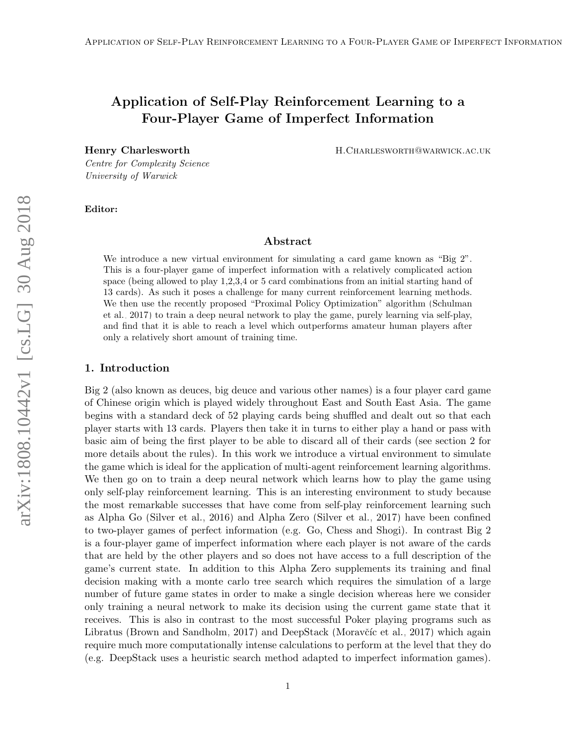# Application of Self-Play Reinforcement Learning to a Four-Player Game of Imperfect Information

Henry Charlesworth **H.Charlesworth H.Charlesworth** H.Charlesworth **H.Charlesworth** 

Centre for Complexity Science University of Warwick

#### Editor:

### Abstract

We introduce a new virtual environment for simulating a card game known as "Big 2". This is a four-player game of imperfect information with a relatively complicated action space (being allowed to play 1,2,3,4 or 5 card combinations from an initial starting hand of 13 cards). As such it poses a challenge for many current reinforcement learning methods. We then use the recently proposed "Proximal Policy Optimization" algorithm [\(Schulman](#page-6-0) [et al., 2017\)](#page-6-0) to train a deep neural network to play the game, purely learning via self-play, and find that it is able to reach a level which outperforms amateur human players after only a relatively short amount of training time.

#### 1. Introduction

Big 2 (also known as deuces, big deuce and various other names) is a four player card game of Chinese origin which is played widely throughout East and South East Asia. The game begins with a standard deck of 52 playing cards being shuffled and dealt out so that each player starts with 13 cards. Players then take it in turns to either play a hand or pass with basic aim of being the first player to be able to discard all of their cards (see section 2 for more details about the rules). In this work we introduce a virtual environment to simulate the game which is ideal for the application of multi-agent reinforcement learning algorithms. We then go on to train a deep neural network which learns how to play the game using only self-play reinforcement learning. This is an interesting environment to study because the most remarkable successes that have come from self-play reinforcement learning such as Alpha Go [\(Silver et al., 2016\)](#page-6-1) and Alpha Zero [\(Silver et al., 2017\)](#page-6-2) have been confined to two-player games of perfect information (e.g. Go, Chess and Shogi). In contrast Big 2 is a four-player game of imperfect information where each player is not aware of the cards that are held by the other players and so does not have access to a full description of the game's current state. In addition to this Alpha Zero supplements its training and final decision making with a monte carlo tree search which requires the simulation of a large number of future game states in order to make a single decision whereas here we consider only training a neural network to make its decision using the current game state that it receives. This is also in contrast to the most successful Poker playing programs such as Libratus [\(Brown and Sandholm, 2017\)](#page-6-3) and DeepStack (Moravčíc et al., 2017) which again require much more computationally intense calculations to perform at the level that they do (e.g. DeepStack uses a heuristic search method adapted to imperfect information games).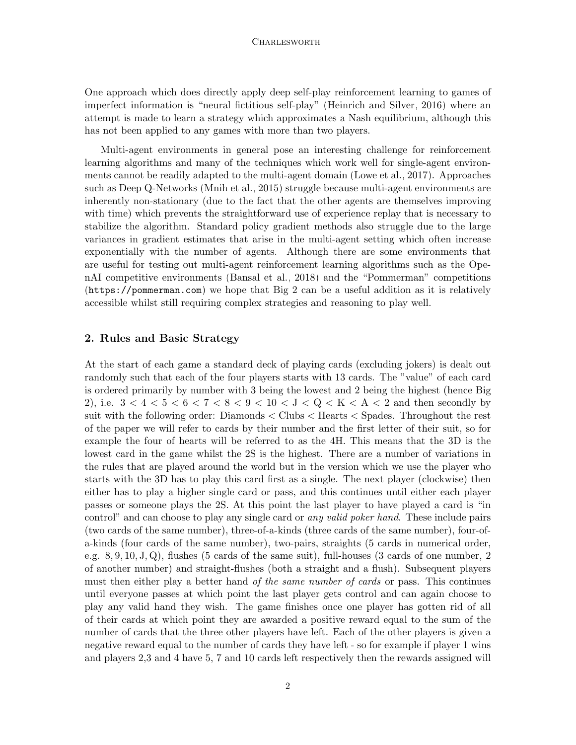#### **CHARLESWORTH**

One approach which does directly apply deep self-play reinforcement learning to games of imperfect information is "neural fictitious self-play" [\(Heinrich and Silver, 2016\)](#page-6-5) where an attempt is made to learn a strategy which approximates a Nash equilibrium, although this has not been applied to any games with more than two players.

Multi-agent environments in general pose an interesting challenge for reinforcement learning algorithms and many of the techniques which work well for single-agent environments cannot be readily adapted to the multi-agent domain [\(Lowe et al., 2017\)](#page-6-6). Approaches such as Deep Q-Networks [\(Mnih et al., 2015\)](#page-6-7) struggle because multi-agent environments are inherently non-stationary (due to the fact that the other agents are themselves improving with time) which prevents the straightforward use of experience replay that is necessary to stabilize the algorithm. Standard policy gradient methods also struggle due to the large variances in gradient estimates that arise in the multi-agent setting which often increase exponentially with the number of agents. Although there are some environments that are useful for testing out multi-agent reinforcement learning algorithms such as the OpenAI competitive environments [\(Bansal et al., 2018\)](#page-6-8) and the "Pommerman" competitions (<https://pommerman.com>) we hope that Big 2 can be a useful addition as it is relatively accessible whilst still requiring complex strategies and reasoning to play well.

#### 2. Rules and Basic Strategy

At the start of each game a standard deck of playing cards (excluding jokers) is dealt out randomly such that each of the four players starts with 13 cards. The "value" of each card is ordered primarily by number with 3 being the lowest and 2 being the highest (hence Big 2), i.e.  $3 < 4 < 5 < 6 < 7 < 8 < 9 < 10 < J < Q < K < A < 2$  and then secondly by suit with the following order: Diamonds < Clubs < Hearts < Spades. Throughout the rest of the paper we will refer to cards by their number and the first letter of their suit, so for example the four of hearts will be referred to as the 4H. This means that the 3D is the lowest card in the game whilst the 2S is the highest. There are a number of variations in the rules that are played around the world but in the version which we use the player who starts with the 3D has to play this card first as a single. The next player (clockwise) then either has to play a higher single card or pass, and this continues until either each player passes or someone plays the 2S. At this point the last player to have played a card is "in control" and can choose to play any single card or *any valid poker hand*. These include pairs (two cards of the same number), three-of-a-kinds (three cards of the same number), four-ofa-kinds (four cards of the same number), two-pairs, straights (5 cards in numerical order, e.g. 8, 9, 10, J, Q), flushes (5 cards of the same suit), full-houses (3 cards of one number, 2 of another number) and straight-flushes (both a straight and a flush). Subsequent players must then either play a better hand of the same number of cards or pass. This continues until everyone passes at which point the last player gets control and can again choose to play any valid hand they wish. The game finishes once one player has gotten rid of all of their cards at which point they are awarded a positive reward equal to the sum of the number of cards that the three other players have left. Each of the other players is given a negative reward equal to the number of cards they have left - so for example if player 1 wins and players 2,3 and 4 have 5, 7 and 10 cards left respectively then the rewards assigned will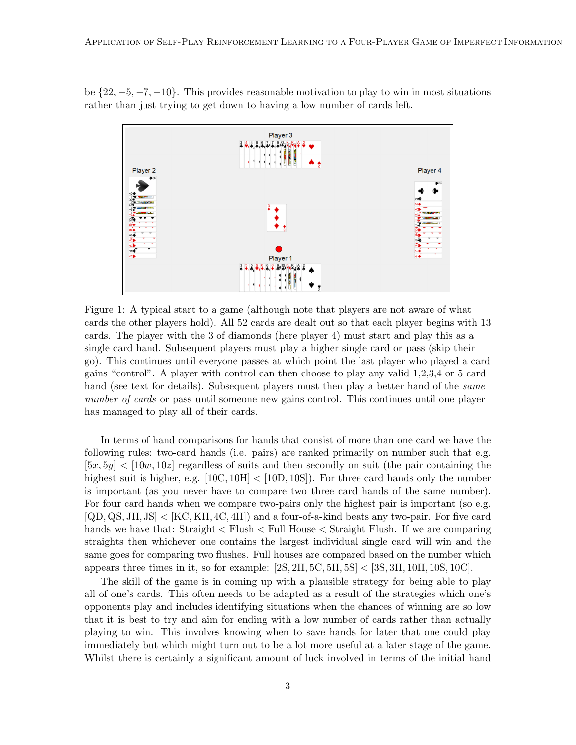be  $\{22, -5, -7, -10\}$ . This provides reasonable motivation to play to win in most situations rather than just trying to get down to having a low number of cards left.



Figure 1: A typical start to a game (although note that players are not aware of what cards the other players hold). All 52 cards are dealt out so that each player begins with 13 cards. The player with the 3 of diamonds (here player 4) must start and play this as a single card hand. Subsequent players must play a higher single card or pass (skip their go). This continues until everyone passes at which point the last player who played a card gains "control". A player with control can then choose to play any valid 1,2,3,4 or 5 card hand (see text for details). Subsequent players must then play a better hand of the same number of cards or pass until someone new gains control. This continues until one player has managed to play all of their cards.

In terms of hand comparisons for hands that consist of more than one card we have the following rules: two-card hands (i.e. pairs) are ranked primarily on number such that e.g.  $[5x, 5y] < [10w, 10z]$  regardless of suits and then secondly on suit (the pair containing the highest suit is higher, e.g.  $\left[10C, 10H\right] < \left[10D, 10S\right]$ . For three card hands only the number is important (as you never have to compare two three card hands of the same number). For four card hands when we compare two-pairs only the highest pair is important (so e.g. [QD, QS, JH, JS] < [KC, KH, 4C, 4H]) and a four-of-a-kind beats any two-pair. For five card hands we have that: Straight  $\langle$  Flush  $\langle$  Full House  $\langle$  Straight Flush. If we are comparing straights then whichever one contains the largest individual single card will win and the same goes for comparing two flushes. Full houses are compared based on the number which appears three times in it, so for example:  $[2S, 2H, 5C, 5H, 5S] < [3S, 3H, 10H, 10S, 10C]$ .

The skill of the game is in coming up with a plausible strategy for being able to play all of one's cards. This often needs to be adapted as a result of the strategies which one's opponents play and includes identifying situations when the chances of winning are so low that it is best to try and aim for ending with a low number of cards rather than actually playing to win. This involves knowing when to save hands for later that one could play immediately but which might turn out to be a lot more useful at a later stage of the game. Whilst there is certainly a significant amount of luck involved in terms of the initial hand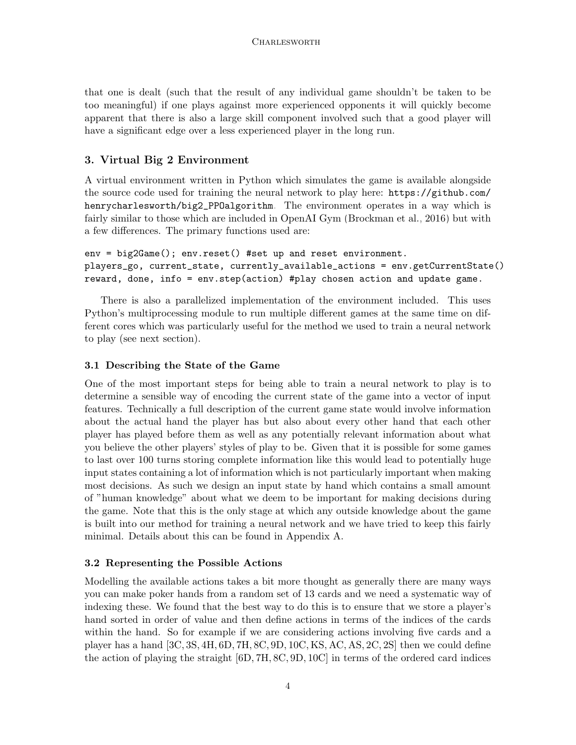that one is dealt (such that the result of any individual game shouldn't be taken to be too meaningful) if one plays against more experienced opponents it will quickly become apparent that there is also a large skill component involved such that a good player will have a significant edge over a less experienced player in the long run.

# 3. Virtual Big 2 Environment

A virtual environment written in Python which simulates the game is available alongside the source code used for training the neural network to play here: [https://github.com/](https://github.com/henrycharlesworth/big2_PPOalgorithm) [henrycharlesworth/big2\\_PPOalgorithm](https://github.com/henrycharlesworth/big2_PPOalgorithm). The environment operates in a way which is fairly similar to those which are included in OpenAI Gym [\(Brockman et al., 2016\)](#page-6-9) but with a few differences. The primary functions used are:

```
env = big2Game(); env.reset() #set up and reset environment.
players_go, current_state, currently_available_actions = env.getCurrentState()
reward, done, info = env.step(action) #play chosen action and update game.
```
There is also a parallelized implementation of the environment included. This uses Python's multiprocessing module to run multiple different games at the same time on different cores which was particularly useful for the method we used to train a neural network to play (see next section).

# 3.1 Describing the State of the Game

One of the most important steps for being able to train a neural network to play is to determine a sensible way of encoding the current state of the game into a vector of input features. Technically a full description of the current game state would involve information about the actual hand the player has but also about every other hand that each other player has played before them as well as any potentially relevant information about what you believe the other players' styles of play to be. Given that it is possible for some games to last over 100 turns storing complete information like this would lead to potentially huge input states containing a lot of information which is not particularly important when making most decisions. As such we design an input state by hand which contains a small amount of "human knowledge" about what we deem to be important for making decisions during the game. Note that this is the only stage at which any outside knowledge about the game is built into our method for training a neural network and we have tried to keep this fairly minimal. Details about this can be found in Appendix A.

# 3.2 Representing the Possible Actions

Modelling the available actions takes a bit more thought as generally there are many ways you can make poker hands from a random set of 13 cards and we need a systematic way of indexing these. We found that the best way to do this is to ensure that we store a player's hand sorted in order of value and then define actions in terms of the indices of the cards within the hand. So for example if we are considering actions involving five cards and a player has a hand [3C, 3S, 4H, 6D, 7H, 8C, 9D, 10C, KS, AC, AS, 2C, 2S] then we could define the action of playing the straight [6D, 7H, 8C, 9D, 10C] in terms of the ordered card indices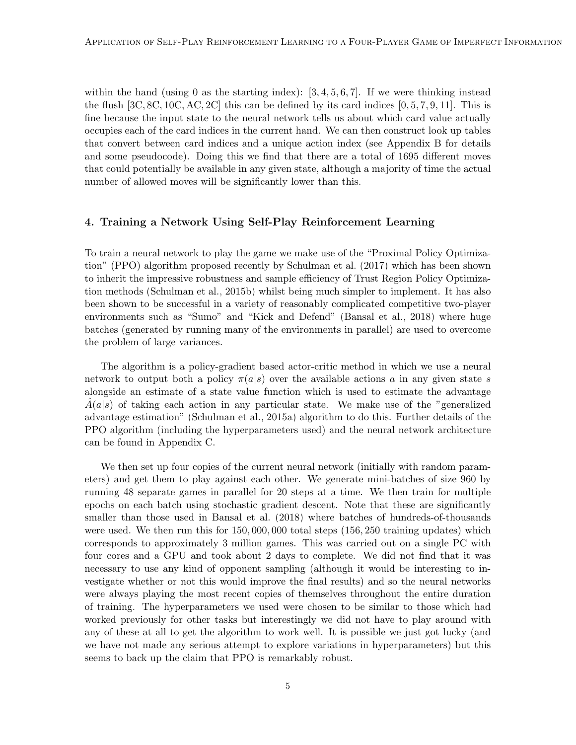within the hand (using 0 as the starting index):  $[3, 4, 5, 6, 7]$ . If we were thinking instead the flush  $[3C, 8C, 10C, AC, 2C]$  this can be defined by its card indices  $[0, 5, 7, 9, 11]$ . This is fine because the input state to the neural network tells us about which card value actually occupies each of the card indices in the current hand. We can then construct look up tables that convert between card indices and a unique action index (see Appendix B for details and some pseudocode). Doing this we find that there are a total of 1695 different moves that could potentially be available in any given state, although a majority of time the actual number of allowed moves will be significantly lower than this.

## 4. Training a Network Using Self-Play Reinforcement Learning

To train a neural network to play the game we make use of the "Proximal Policy Optimization" (PPO) algorithm proposed recently by [Schulman et al.](#page-6-0) [\(2017\)](#page-6-0) which has been shown to inherit the impressive robustness and sample efficiency of Trust Region Policy Optimization methods [\(Schulman et al., 2015b\)](#page-6-10) whilst being much simpler to implement. It has also been shown to be successful in a variety of reasonably complicated competitive two-player environments such as "Sumo" and "Kick and Defend" [\(Bansal et al., 2018\)](#page-6-8) where huge batches (generated by running many of the environments in parallel) are used to overcome the problem of large variances.

The algorithm is a policy-gradient based actor-critic method in which we use a neural network to output both a policy  $\pi(a|s)$  over the available actions a in any given state s alongside an estimate of a state value function which is used to estimate the advantage  $A(a|s)$  of taking each action in any particular state. We make use of the "generalized" advantage estimation" [\(Schulman et al., 2015a\)](#page-6-11) algorithm to do this. Further details of the PPO algorithm (including the hyperparameters used) and the neural network architecture can be found in Appendix C.

We then set up four copies of the current neural network (initially with random parameters) and get them to play against each other. We generate mini-batches of size 960 by running 48 separate games in parallel for 20 steps at a time. We then train for multiple epochs on each batch using stochastic gradient descent. Note that these are significantly smaller than those used in [Bansal et al.](#page-6-8) [\(2018\)](#page-6-8) where batches of hundreds-of-thousands were used. We then run this for 150, 000, 000 total steps (156, 250 training updates) which corresponds to approximately 3 million games. This was carried out on a single PC with four cores and a GPU and took about 2 days to complete. We did not find that it was necessary to use any kind of opponent sampling (although it would be interesting to investigate whether or not this would improve the final results) and so the neural networks were always playing the most recent copies of themselves throughout the entire duration of training. The hyperparameters we used were chosen to be similar to those which had worked previously for other tasks but interestingly we did not have to play around with any of these at all to get the algorithm to work well. It is possible we just got lucky (and we have not made any serious attempt to explore variations in hyperparameters) but this seems to back up the claim that PPO is remarkably robust.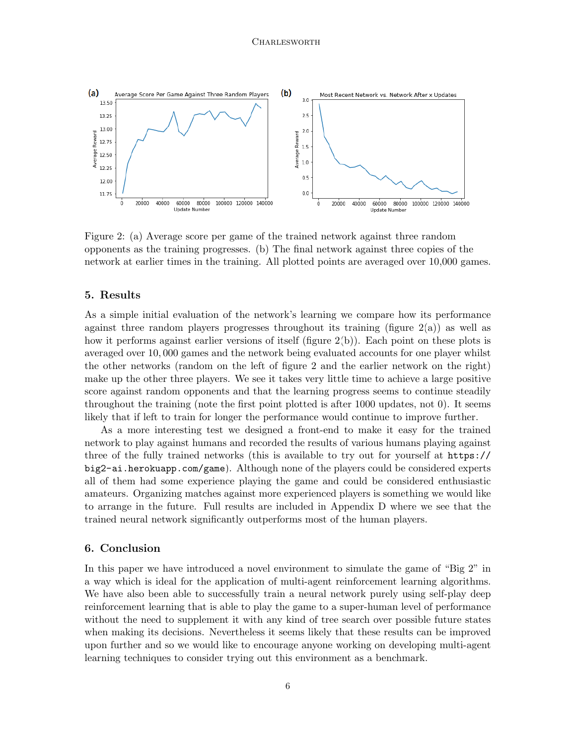<span id="page-5-0"></span>

Figure 2: (a) Average score per game of the trained network against three random opponents as the training progresses. (b) The final network against three copies of the network at earlier times in the training. All plotted points are averaged over 10,000 games.

## 5. Results

As a simple initial evaluation of the network's learning we compare how its performance against three random players progresses throughout its training (figure  $2(a)$ ) as well as how it performs against earlier versions of itself (figure [2\(](#page-5-0)b)). Each point on these plots is averaged over 10, 000 games and the network being evaluated accounts for one player whilst the other networks (random on the left of figure [2](#page-5-0) and the earlier network on the right) make up the other three players. We see it takes very little time to achieve a large positive score against random opponents and that the learning progress seems to continue steadily throughout the training (note the first point plotted is after 1000 updates, not 0). It seems likely that if left to train for longer the performance would continue to improve further.

As a more interesting test we designed a front-end to make it easy for the trained network to play against humans and recorded the results of various humans playing against three of the fully trained networks (this is available to try out for yourself at [https://](https://big2-ai.herokuapp.com/game) [big2-ai.herokuapp.com/game](https://big2-ai.herokuapp.com/game)). Although none of the players could be considered experts all of them had some experience playing the game and could be considered enthusiastic amateurs. Organizing matches against more experienced players is something we would like to arrange in the future. Full results are included in Appendix D where we see that the trained neural network significantly outperforms most of the human players.

#### 6. Conclusion

In this paper we have introduced a novel environment to simulate the game of "Big 2" in a way which is ideal for the application of multi-agent reinforcement learning algorithms. We have also been able to successfully train a neural network purely using self-play deep reinforcement learning that is able to play the game to a super-human level of performance without the need to supplement it with any kind of tree search over possible future states when making its decisions. Nevertheless it seems likely that these results can be improved upon further and so we would like to encourage anyone working on developing multi-agent learning techniques to consider trying out this environment as a benchmark.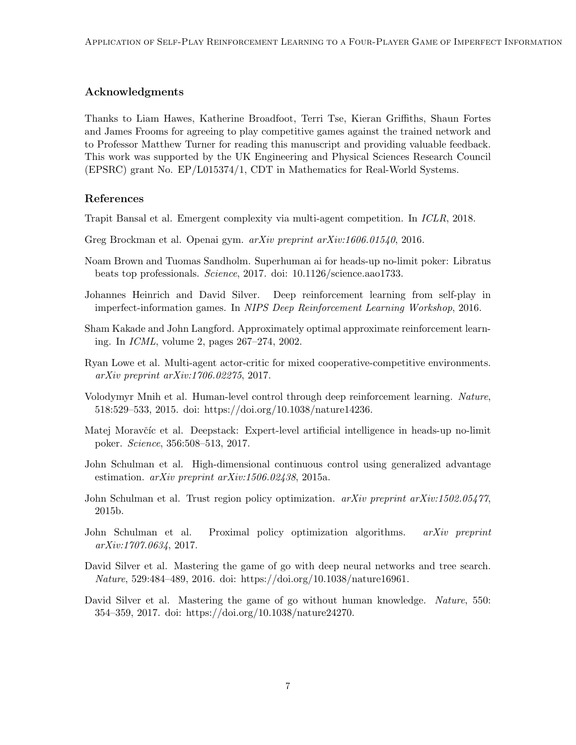# Acknowledgments

Thanks to Liam Hawes, Katherine Broadfoot, Terri Tse, Kieran Griffiths, Shaun Fortes and James Frooms for agreeing to play competitive games against the trained network and to Professor Matthew Turner for reading this manuscript and providing valuable feedback. This work was supported by the UK Engineering and Physical Sciences Research Council (EPSRC) grant No. EP/L015374/1, CDT in Mathematics for Real-World Systems.

# References

- <span id="page-6-8"></span>Trapit Bansal et al. Emergent complexity via multi-agent competition. In ICLR, 2018.
- <span id="page-6-9"></span>Greg Brockman et al. Openai gym. arXiv preprint arXiv:1606.01540, 2016.
- <span id="page-6-3"></span>Noam Brown and Tuomas Sandholm. Superhuman ai for heads-up no-limit poker: Libratus beats top professionals. Science, 2017. doi: 10.1126/science.aao1733.
- <span id="page-6-5"></span>Johannes Heinrich and David Silver. Deep reinforcement learning from self-play in imperfect-information games. In NIPS Deep Reinforcement Learning Workshop, 2016.
- <span id="page-6-12"></span>Sham Kakade and John Langford. Approximately optimal approximate reinforcement learning. In ICML, volume 2, pages 267–274, 2002.
- <span id="page-6-6"></span>Ryan Lowe et al. Multi-agent actor-critic for mixed cooperative-competitive environments. arXiv preprint arXiv:1706.02275, 2017.
- <span id="page-6-7"></span>Volodymyr Mnih et al. Human-level control through deep reinforcement learning. Nature, 518:529–533, 2015. doi: https://doi.org/10.1038/nature14236.
- <span id="page-6-4"></span>Matej Moravčíc et al. Deepstack: Expert-level artificial intelligence in heads-up no-limit poker. Science, 356:508–513, 2017.
- <span id="page-6-11"></span>John Schulman et al. High-dimensional continuous control using generalized advantage estimation.  $arXiv$  preprint  $arXiv:1506.02438$ , 2015a.
- <span id="page-6-10"></span>John Schulman et al. Trust region policy optimization.  $arXiv$  preprint  $arXiv:1502.05477$ , 2015b.
- <span id="page-6-0"></span>John Schulman et al. Proximal policy optimization algorithms. arXiv preprint arXiv:1707.0634, 2017.
- <span id="page-6-1"></span>David Silver et al. Mastering the game of go with deep neural networks and tree search. Nature, 529:484–489, 2016. doi: https://doi.org/10.1038/nature16961.
- <span id="page-6-2"></span>David Silver et al. Mastering the game of go without human knowledge. Nature, 550: 354–359, 2017. doi: https://doi.org/10.1038/nature24270.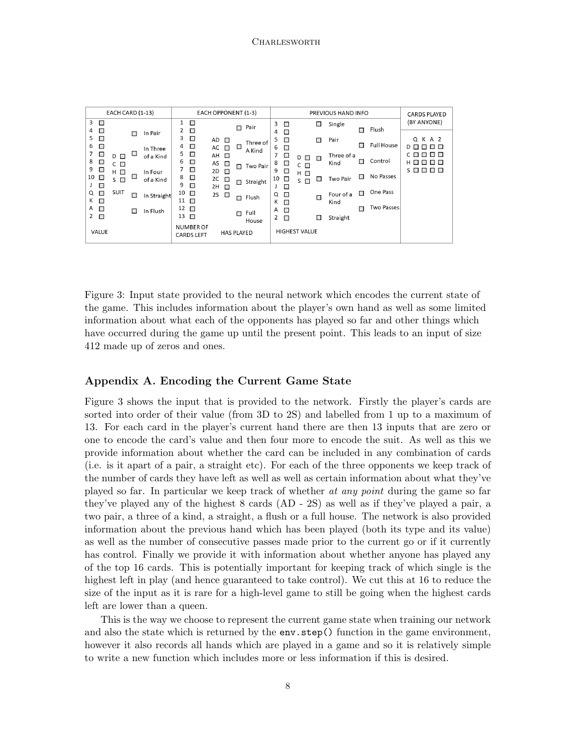<span id="page-7-0"></span>

| EACH CARD (1-13)                                               |                                             |        |                      | EACH OPPONENT (1-3)    |                                       |                      |                          | PREVIOUS HAND INFO |                    |             |                               |                          | <b>CARDS PLAYED</b>      |                    |        |                   |                                              |  |
|----------------------------------------------------------------|---------------------------------------------|--------|----------------------|------------------------|---------------------------------------|----------------------|--------------------------|--------------------|--------------------|-------------|-------------------------------|--------------------------|--------------------------|--------------------|--------|-------------------|----------------------------------------------|--|
| 3<br>$\mathcal{L}_{\mathcal{A}}$<br>$\Box$<br>4                |                                             | $\Box$ | In Pair              | 1                      | $\Box$<br>□                           |                      |                          | П                  | Pair               | 3<br>4      | $\Box$<br>$\Box$              |                          | □                        | Single             | П      | Flush             | (BY ANYONE)                                  |  |
| 5<br>$\Box$<br>$\Box$<br>6                                     |                                             |        | In Three             | 3<br>4                 | $\blacksquare$<br>□                   | AD<br>$AC$ $\square$ | $\overline{\phantom{a}}$ | □                  | Three of           | 5<br>6      | $\Box$<br>$\Box$              |                          | $\overline{\phantom{a}}$ | Pair               | П      | <b>Full House</b> | Q K A 2<br>DП<br>пп                          |  |
| 7<br>$\overline{\phantom{a}}$<br>8<br>$\overline{\phantom{a}}$ | $\overline{\phantom{a}}$<br>D<br>$C$ $\Box$ | □      | of a Kind            | 5<br>6                 | $\Box$<br>$\Box$                      | AH O<br>AS           | □                        | П                  | A Kind<br>Two Pair | 7<br>8      | $\overline{\phantom{a}}$<br>□ | D O<br>$C \Box$          | $\overline{\phantom{a}}$ | Three of a<br>Kind | П      | Control           | ПП<br>нп<br>$\Box$<br>$\Box$                 |  |
| 9<br>$\Box$<br>10<br>□                                         | $H \Box$<br>S<br>$\Box$                     | $\Box$ | In Four<br>of a Kind | 8                      | $\Box$<br>$\Box$                      | 2D<br>2C             | $\Box$<br>$\blacksquare$ | П                  | Straight           | 9<br>10     | $\Box$<br>□                   | $H$ $\Box$<br>$S$ $\Box$ | $\sim$                   | Two Pair           | □      | No Passes         | $S \Box$<br><b>Reduction</b><br>$\mathbf{L}$ |  |
| $\Box$<br>□<br>Q<br>Κ<br>$\Box$                                | <b>SUIT</b>                                 | $\Box$ | In Straight          | 9<br>10<br>$11$ $\Box$ | $\Box$<br>$\Box$                      | $2H$ $\Box$<br>2S    | $\Box$                   | П                  | Flush              | J<br>Q<br>К | □<br>$\Box$<br>$\Box$         |                          | $\Box$                   | Four of a<br>Kind  | $\Box$ | One Pass          |                                              |  |
| Α<br>$\Box$<br>2<br>□                                          |                                             | $\Box$ | In Flush             | 12<br>13               | $\Box$<br>$\Box$                      |                      |                          | П                  | Full<br>House      | Α<br>2      | $\Box$<br>$\Box$              |                          | $\sim$                   | Straight           | П      | <b>Two Passes</b> |                                              |  |
| <b>VALUE</b>                                                   |                                             |        |                      |                        | <b>NUMBER OF</b><br><b>CARDS LEFT</b> |                      | <b>HAS PLAYED</b>        |                    |                    |             |                               | <b>HIGHEST VALUE</b>     |                          |                    |        |                   |                                              |  |

Figure 3: Input state provided to the neural network which encodes the current state of the game. This includes information about the player's own hand as well as some limited information about what each of the opponents has played so far and other things which have occurred during the game up until the present point. This leads to an input of size 412 made up of zeros and ones.

## Appendix A. Encoding the Current Game State

Figure [3](#page-7-0) shows the input that is provided to the network. Firstly the player's cards are sorted into order of their value (from 3D to 2S) and labelled from 1 up to a maximum of 13. For each card in the player's current hand there are then 13 inputs that are zero or one to encode the card's value and then four more to encode the suit. As well as this we provide information about whether the card can be included in any combination of cards (i.e. is it apart of a pair, a straight etc). For each of the three opponents we keep track of the number of cards they have left as well as well as certain information about what they've played so far. In particular we keep track of whether at any point during the game so far they've played any of the highest 8 cards (AD - 2S) as well as if they've played a pair, a two pair, a three of a kind, a straight, a flush or a full house. The network is also provided information about the previous hand which has been played (both its type and its value) as well as the number of consecutive passes made prior to the current go or if it currently has control. Finally we provide it with information about whether anyone has played any of the top 16 cards. This is potentially important for keeping track of which single is the highest left in play (and hence guaranteed to take control). We cut this at 16 to reduce the size of the input as it is rare for a high-level game to still be going when the highest cards left are lower than a queen.

This is the way we choose to represent the current game state when training our network and also the state which is returned by the env.step() function in the game environment, however it also records all hands which are played in a game and so it is relatively simple to write a new function which includes more or less information if this is desired.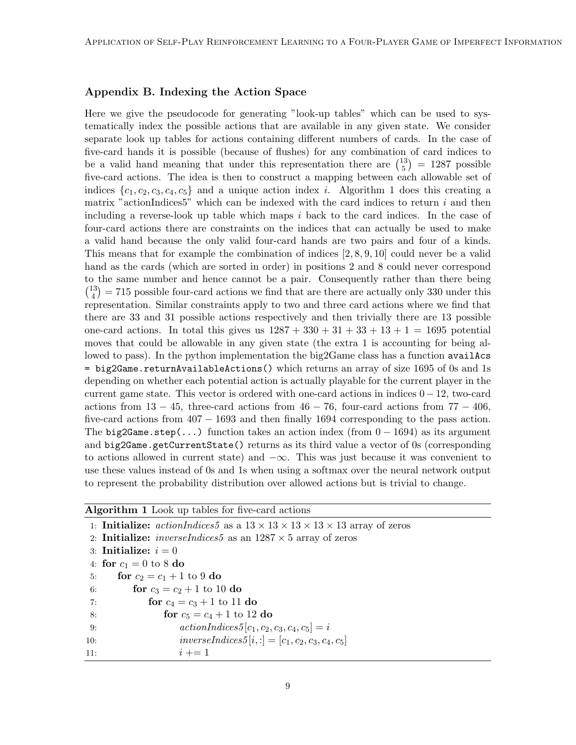# Appendix B. Indexing the Action Space

Here we give the pseudocode for generating "look-up tables" which can be used to systematically index the possible actions that are available in any given state. We consider separate look up tables for actions containing different numbers of cards. In the case of five-card hands it is possible (because of flushes) for any combination of card indices to be a valid hand meaning that under this representation there are  $\binom{13}{5}$  $\binom{13}{5}$  = 1287 possible five-card actions. The idea is then to construct a mapping between each allowable set of indices  $\{c_1, c_2, c_3, c_4, c_5\}$  and a unique action index *i*. Algorithm [1](#page-8-0) does this creating a matrix "actionIndices5" which can be indexed with the card indices to return  $i$  and then including a reverse-look up table which maps  $i$  back to the card indices. In the case of four-card actions there are constraints on the indices that can actually be used to make a valid hand because the only valid four-card hands are two pairs and four of a kinds. This means that for example the combination of indices  $[2, 8, 9, 10]$  could never be a valid hand as the cards (which are sorted in order) in positions 2 and 8 could never correspond to the same number and hence cannot be a pair. Consequently rather than there being  $\binom{13}{4}$  $\binom{13}{4}$  = 715 possible four-card actions we find that are there are actually only 330 under this representation. Similar constraints apply to two and three card actions where we find that there are 33 and 31 possible actions respectively and then trivially there are 13 possible one-card actions. In total this gives us  $1287 + 330 + 31 + 33 + 13 + 1 = 1695$  potential moves that could be allowable in any given state (the extra 1 is accounting for being allowed to pass). In the python implementation the big2Game class has a function availAcs = big2Game.returnAvailableActions() which returns an array of size 1695 of 0s and 1s depending on whether each potential action is actually playable for the current player in the current game state. This vector is ordered with one-card actions in indices  $0 - 12$ , two-card actions from  $13 - 45$ , three-card actions from  $46 - 76$ , four-card actions from  $77 - 406$ , five-card actions from  $407 - 1693$  and then finally 1694 corresponding to the pass action. The big2Game.step(...) function takes an action index (from  $0 - 1694$ ) as its argument and big2Game.getCurrentState() returns as its third value a vector of 0s (corresponding to actions allowed in current state) and  $-\infty$ . This was just because it was convenient to use these values instead of 0s and 1s when using a softmax over the neural network output to represent the probability distribution over allowed actions but is trivial to change.

<span id="page-8-0"></span>

| Algorithm 1 Look up tables for five-card actions |  |  |  |  |  |  |  |
|--------------------------------------------------|--|--|--|--|--|--|--|
|--------------------------------------------------|--|--|--|--|--|--|--|

1: **Initialize:** actionIndices5 as a  $13 \times 13 \times 13 \times 13 \times 13$  array of zeros 2: **Initialize:** *inverseIndices5* as an  $1287 \times 5$  array of zeros 3: Initialize:  $i = 0$ 4: for  $c_1 = 0$  to 8 do 5: **for**  $c_2 = c_1 + 1$  to 9 do 6: **for**  $c_3 = c_2 + 1$  to 10 **do** 7: **for**  $c_4 = c_3 + 1$  to 11 do 8: **for**  $c_5 = c_4 + 1$  to 12 do 9:  $actionIndices 5[c_1, c_2, c_3, c_4, c_5] = i$ 10:  $inverseIndices 5[i, :] = [c_1, c_2, c_3, c_4, c_5]$ 11:  $i += 1$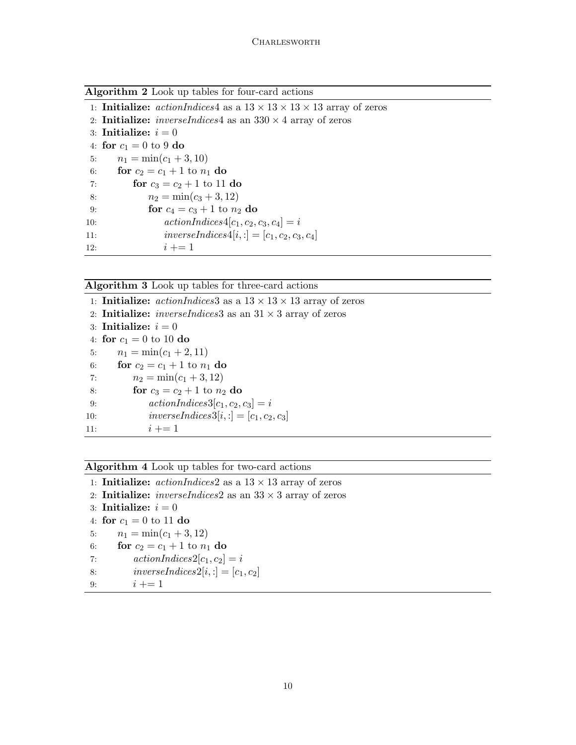Algorithm 2 Look up tables for four-card actions

|     | 1: <b>Initialize:</b> actionIndices4 as a $13 \times 13 \times 13 \times 13$ array of zeros |
|-----|---------------------------------------------------------------------------------------------|
|     | 2. <b>Initialize:</b> <i>inverseIndices4</i> as an $330 \times 4$ array of zeros            |
|     | 3: Initialize: $i=0$                                                                        |
|     | 4: for $c_1 = 0$ to 9 do                                                                    |
| 5:  | $n_1 = \min(c_1 + 3, 10)$                                                                   |
| 6:  | for $c_2 = c_1 + 1$ to $n_1$ do                                                             |
| 7:  | for $c_3 = c_2 + 1$ to 11 do                                                                |
| 8:  | $n_2 = \min(c_3 + 3, 12)$                                                                   |
| 9:  | for $c_4 = c_3 + 1$ to $n_2$ do                                                             |
| 10: | $actionIndices4[c_1, c_2, c_3, c_4] = i$                                                    |
| 11: | inverseIndices $4[i, :] = [c_1, c_2, c_3, c_4]$                                             |
| 12: | $i + = 1$                                                                                   |

Algorithm 3 Look up tables for three-card actions

|     | 1. <b>Initialize:</b> <i>actionIndices</i> 3 as a $13 \times 13 \times 13$ array of zeros |
|-----|-------------------------------------------------------------------------------------------|
|     | 2. <b>Initialize:</b> <i>inverseIndices</i> 3 as an $31 \times 3$ array of zeros          |
|     | 3: Initialize: $i=0$                                                                      |
|     | 4: for $c_1 = 0$ to 10 do                                                                 |
|     | $n_1 = \min(c_1 + 2, 11)$<br>5:                                                           |
| 6:  | for $c_2 = c_1 + 1$ to $n_1$ do                                                           |
| 7:  | $n_2 = \min(c_1 + 3, 12)$                                                                 |
| 8:  | for $c_3 = c_2 + 1$ to $n_2$ do                                                           |
| 9:  | $actionIndices3[c_1, c_2, c_3] = i$                                                       |
| 10: | inverseIndices $3[i, :] = [c_1, c_2, c_3]$                                                |
| 11: | $i + = 1$                                                                                 |

Algorithm 4 Look up tables for two-card actions

1: **Initialize:**  $actionIndices2$  as a  $13 \times 13$  array of zeros

2: **Initialize:** *inverseIndices* 2 as an  $33 \times 3$  array of zeros

```
3: Initialize: i = 0
```

```
4: for c_1 = 0 to 11 do
```

```
5: n_1 = \min(c_1 + 3, 12)
```

```
6: for c_2 = c_1 + 1 to n_1 do
```

```
7: \operatorname{action}Indices2[c_1, c_2] = i
```

```
8: inverseIndices2[i, :] = [c_1, c_2]
```

```
9: i += 1
```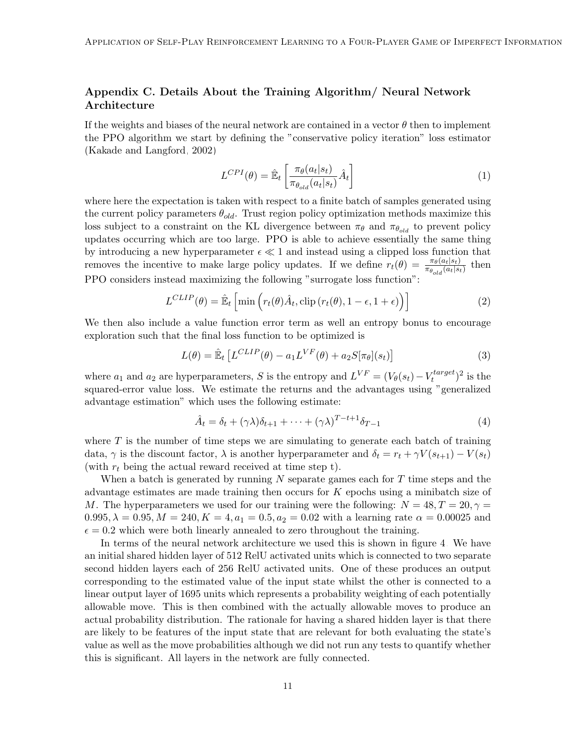# Appendix C. Details About the Training Algorithm/ Neural Network Architecture

If the weights and biases of the neural network are contained in a vector  $\theta$  then to implement the PPO algorithm we start by defining the "conservative policy iteration" loss estimator [\(Kakade and Langford, 2002\)](#page-6-12)

$$
L^{CPI}(\theta) = \hat{\mathbb{E}}_t \left[ \frac{\pi_{\theta}(a_t|s_t)}{\pi_{\theta_{old}}(a_t|s_t)} \hat{A}_t \right]
$$
(1)

where here the expectation is taken with respect to a finite batch of samples generated using the current policy parameters  $\theta_{old}$ . Trust region policy optimization methods maximize this loss subject to a constraint on the KL divergence between  $\pi_{\theta}$  and  $\pi_{\theta_{old}}$  to prevent policy updates occurring which are too large. PPO is able to achieve essentially the same thing by introducing a new hyperparameter  $\epsilon \ll 1$  and instead using a clipped loss function that removes the incentive to make large policy updates. If we define  $r_t(\theta) = \frac{\pi_{\theta}(a_t|s_t)}{\pi_{\theta_{old}}(a_t|s_t)}$  then PPO considers instead maximizing the following "surrogate loss function":

$$
L^{CLIP}(\theta) = \hat{\mathbb{E}}_t \left[ \min \left( r_t(\theta) \hat{A}_t, \text{clip} \left( r_t(\theta), 1 - \epsilon, 1 + \epsilon \right) \right) \right]
$$
(2)

We then also include a value function error term as well an entropy bonus to encourage exploration such that the final loss function to be optimized is

$$
L(\theta) = \hat{\mathbb{E}}_t \left[ L^{CLIP}(\theta) - a_1 L^{VF}(\theta) + a_2 S[\pi_{\theta}](s_t) \right]
$$
(3)

where  $a_1$  and  $a_2$  are hyperparameters, S is the entropy and  $L^{VF} = (V_{\theta}(s_t) - V_t^{target})$  $(t^{target})^2$  is the squared-error value loss. We estimate the returns and the advantages using "generalized advantage estimation" which uses the following estimate:

$$
\hat{A}_t = \delta_t + (\gamma \lambda) \delta_{t+1} + \dots + (\gamma \lambda)^{T-t+1} \delta_{T-1}
$$
\n<sup>(4)</sup>

where  $T$  is the number of time steps we are simulating to generate each batch of training data,  $\gamma$  is the discount factor,  $\lambda$  is another hyperparameter and  $\delta_t = r_t + \gamma V(s_{t+1}) - V(s_t)$ (with  $r_t$  being the actual reward received at time step t).

When a batch is generated by running  $N$  separate games each for  $T$  time steps and the advantage estimates are made training then occurs for  $K$  epochs using a minibatch size of M. The hyperparameters we used for our training were the following:  $N = 48, T = 20, \gamma =$  $0.995, \lambda = 0.95, M = 240, K = 4, a_1 = 0.5, a_2 = 0.02$  with a learning rate  $\alpha = 0.00025$  and  $\epsilon = 0.2$  which were both linearly annealed to zero throughout the training.

In terms of the neural network architecture we used this is shown in figure [4.](#page-11-0) We have an initial shared hidden layer of 512 RelU activated units which is connected to two separate second hidden layers each of 256 RelU activated units. One of these produces an output corresponding to the estimated value of the input state whilst the other is connected to a linear output layer of 1695 units which represents a probability weighting of each potentially allowable move. This is then combined with the actually allowable moves to produce an actual probability distribution. The rationale for having a shared hidden layer is that there are likely to be features of the input state that are relevant for both evaluating the state's value as well as the move probabilities although we did not run any tests to quantify whether this is significant. All layers in the network are fully connected.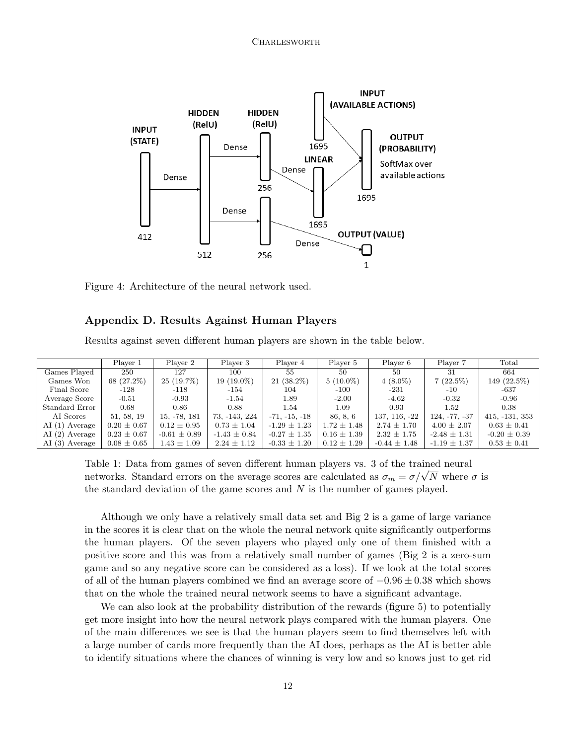<span id="page-11-0"></span>

Figure 4: Architecture of the neural network used.

## Appendix D. Results Against Human Players

Results against seven different human players are shown in the table below.

|                 | Player 1        | Player 2         | Player 3         | Player 4         | Player 5        | Player 6         | Player 7         | Total            |
|-----------------|-----------------|------------------|------------------|------------------|-----------------|------------------|------------------|------------------|
| Games Played    | 250             | 127              | 100              | 55               | 50              | 50               | 31               | 664              |
|                 |                 |                  |                  |                  |                 |                  |                  |                  |
| Games Won       | 68 (27.2%)      | $25(19.7\%)$     | $19(19.0\%)$     | $21(38.2\%)$     | $5(10.0\%)$     | $4(8.0\%)$       | $7(22.5\%)$      | 149 (22.5%)      |
| Final Score     | $-128$          | -118             | -154             | 104              | $-100$          | -231             | $-10$            | $-637$           |
| Average Score   | $-0.51$         | $-0.93$          | $-1.54$          | 1.89             | $-2.00$         | $-4.62$          | $-0.32$          | $-0.96$          |
| Standard Error  | 0.68            | 0.86             | 0.88             | 1.54             | 1.09            | 0.93             | 1.52             | 0.38             |
| AI Scores       | 51, 58, 19      | 15, -78, 181     | 73, -143, 224    | $-71, -15, -18$  | 86, 8, 6        | 137, 116, -22    | $124, -77, -37$  | $415, -131, 353$ |
| $AI(1)$ Average | $0.20 \pm 0.67$ | $0.12 \pm 0.95$  | $0.73 \pm 1.04$  | $-1.29 \pm 1.23$ | $1.72 \pm 1.48$ | $2.74 \pm 1.70$  | $4.00 \pm 2.07$  | $0.63 \pm 0.41$  |
| $AI(2)$ Average | $0.23 \pm 0.67$ | $-0.61 \pm 0.89$ | $-1.43 \pm 0.84$ | $-0.27 \pm 1.35$ | $0.16 \pm 1.39$ | $2.32 \pm 1.75$  | $-2.48 \pm 1.31$ | $-0.20 \pm 0.39$ |
| AI (3) Average  | $0.08 \pm 0.65$ | $1.43 \pm 1.09$  | $2.24 \pm 1.12$  | $-0.33 \pm 1.20$ | $0.12 \pm 1.29$ | $-0.44 \pm 1.48$ | $-1.19 \pm 1.37$ | $0.53 \pm 0.41$  |

Table 1: Data from games of seven different human players vs. 3 of the trained neural Table 1: Data from games of seven different numan players vs. 3 of the trained neural networks. Standard errors on the average scores are calculated as  $\sigma_m = \sigma/\sqrt{N}$  where  $\sigma$  is the standard deviation of the game scores and  $N$  is the number of games played.

Although we only have a relatively small data set and Big 2 is a game of large variance in the scores it is clear that on the whole the neural network quite significantly outperforms the human players. Of the seven players who played only one of them finished with a positive score and this was from a relatively small number of games (Big 2 is a zero-sum game and so any negative score can be considered as a loss). If we look at the total scores of all of the human players combined we find an average score of  $-0.96 \pm 0.38$  which shows that on the whole the trained neural network seems to have a significant advantage.

We can also look at the probability distribution of the rewards (figure [5\)](#page-12-0) to potentially get more insight into how the neural network plays compared with the human players. One of the main differences we see is that the human players seem to find themselves left with a large number of cards more frequently than the AI does, perhaps as the AI is better able to identify situations where the chances of winning is very low and so knows just to get rid